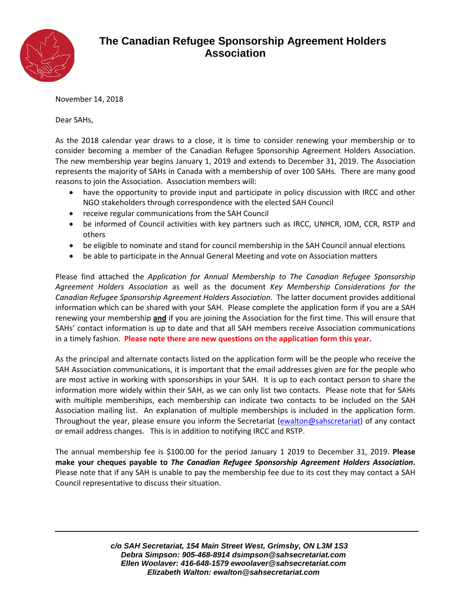

## **The Canadian Refugee Sponsorship Agreement Holders Association**

## November 14, 2018

Dear SAHs,

As the 2018 calendar year draws to a close, it is time to consider renewing your membership or to consider becoming a member of the Canadian Refugee Sponsorship Agreement Holders Association. The new membership year begins January 1, 2019 and extends to December 31, 2019. The Association represents the majority of SAHs in Canada with a membership of over 100 SAHs. There are many good reasons to join the Association. Association members will:

- have the opportunity to provide input and participate in policy discussion with IRCC and other NGO stakeholders through correspondence with the elected SAH Council
- receive regular communications from the SAH Council
- be informed of Council activities with key partners such as IRCC, UNHCR, IOM, CCR, RSTP and others
- be eligible to nominate and stand for council membership in the SAH Council annual elections
- be able to participate in the Annual General Meeting and vote on Association matters

Please find attached the *Application for Annual Membership to The Canadian Refugee Sponsorship Agreement Holders Association* as well as the document *Key Membership Considerations for the Canadian Refugee Sponsorship Agreement Holders Association*. The latter document provides additional information which can be shared with your SAH. Please complete the application form if you are a SAH renewing your membership **and** if you are joining the Association for the first time. This will ensure that SAHs' contact information is up to date and that all SAH members receive Association communications in a timely fashion. **Please note there are new questions on the application form this year.**

As the principal and alternate contacts listed on the application form will be the people who receive the SAH Association communications, it is important that the email addresses given are for the people who are most active in working with sponsorships in your SAH. It is up to each contact person to share the information more widely within their SAH, as we can only list two contacts. Please note that for SAHs with multiple memberships, each membership can indicate two contacts to be included on the SAH Association mailing list. An explanation of multiple memberships is included in the application form. Throughout the year, please ensure you inform the Secretariat [\(ewalton@sahscretariat\)](mailto:rwalker@sahsecretariat.com) of any contact or email address changes. This is in addition to notifying IRCC and RSTP.

The annual membership fee is \$100.00 for the period January 1 2019 to December 31, 2019. **Please make your cheques payable to** *The Canadian Refugee Sponsorship Agreement Holders Association***.**  Please note that if any SAH is unable to pay the membership fee due to its cost they may contact a SAH Council representative to discuss their situation.

> *c/o SAH Secretariat, 154 Main Street West, Grimsby, ON L3M 1S3 Debra Simpson: 905-468-8914 dsimpson@sahsecretariat.com Ellen Woolaver: 416-648-1579 ewoolaver@sahsecretariat.com Elizabeth Walton: ewalton@sahsecretariat.com*